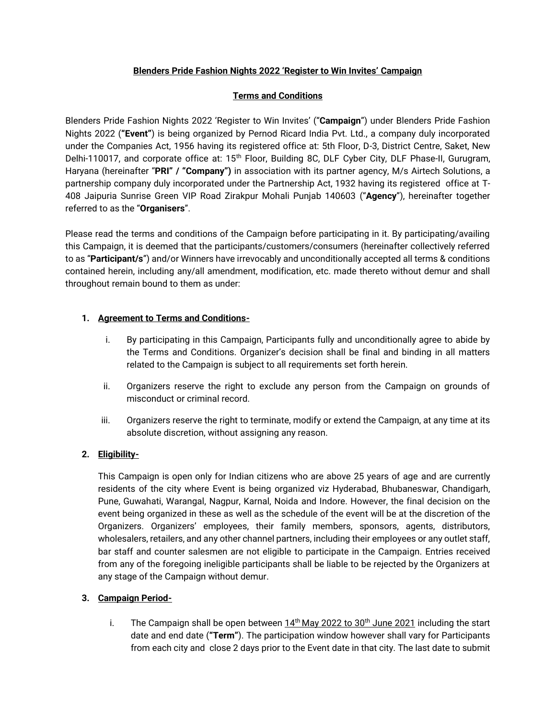### **Blenders Pride Fashion Nights 2022 'Register to Win Invites' Campaign**

# **Terms and Conditions**

Blenders Pride Fashion Nights 2022 'Register to Win Invites' ("**Campaign**") under Blenders Pride Fashion Nights 2022 (**"Event"**) is being organized by Pernod Ricard India Pvt. Ltd., a company duly incorporated under the Companies Act, 1956 having its registered office at: 5th Floor, D-3, District Centre, Saket, New Delhi-110017, and corporate office at: 15<sup>th</sup> Floor, Building 8C, DLF Cyber City, DLF Phase-II, Gurugram, Haryana (hereinafter "**PRI" / "Company")** in association with its partner agency, M/s Airtech Solutions, a partnership company duly incorporated under the Partnership Act, 1932 having its registered office at T-408 Jaipuria Sunrise Green VIP Road Zirakpur Mohali Punjab 140603 ("**Agency**"), hereinafter together referred to as the "**Organisers**".

Please read the terms and conditions of the Campaign before participating in it. By participating/availing this Campaign, it is deemed that the participants/customers/consumers (hereinafter collectively referred to as "**Participant/s**") and/or Winners have irrevocably and unconditionally accepted all terms & conditions contained herein, including any/all amendment, modification, etc. made thereto without demur and shall throughout remain bound to them as under:

# **1. Agreement to Terms and Conditions-**

- i. By participating in this Campaign, Participants fully and unconditionally agree to abide by the Terms and Conditions. Organizer's decision shall be final and binding in all matters related to the Campaign is subject to all requirements set forth herein.
- ii. Organizers reserve the right to exclude any person from the Campaign on grounds of misconduct or criminal record.
- iii. Organizers reserve the right to terminate, modify or extend the Campaign, at any time at its absolute discretion, without assigning any reason.

# **2. Eligibility-**

This Campaign is open only for Indian citizens who are above 25 years of age and are currently residents of the city where Event is being organized viz Hyderabad, Bhubaneswar, Chandigarh, Pune, Guwahati, Warangal, Nagpur, Karnal, Noida and Indore. However, the final decision on the event being organized in these as well as the schedule of the event will be at the discretion of the Organizers. Organizers' employees, their family members, sponsors, agents, distributors, wholesalers, retailers, and any other channel partners, including their employees or any outlet staff, bar staff and counter salesmen are not eligible to participate in the Campaign. Entries received from any of the foregoing ineligible participants shall be liable to be rejected by the Organizers at any stage of the Campaign without demur.

# **3. Campaign Period-**

i. The Campaign shall be open between  $14<sup>th</sup>$  May 2022 to 30<sup>th</sup> June 2021 including the start date and end date (**"Term"**). The participation window however shall vary for Participants from each city and close 2 days prior to the Event date in that city. The last date to submit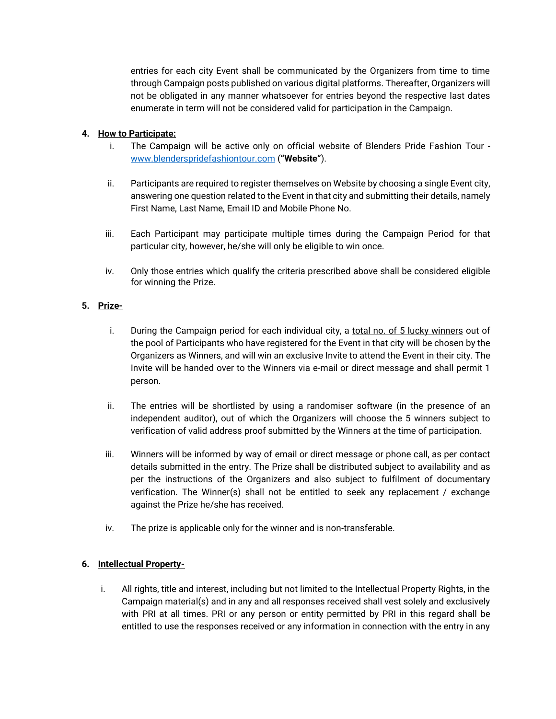entries for each city Event shall be communicated by the Organizers from time to time through Campaign posts published on various digital platforms. Thereafter, Organizers will not be obligated in any manner whatsoever for entries beyond the respective last dates enumerate in term will not be considered valid for participation in the Campaign.

### **4. How to Participate:**

- i. The Campaign will be active only on official website of Blenders Pride Fashion Tour [www.blenderspridefashiontour.com](https://www.blenderspridefashiontour.com/) (**"Website"**).
- ii. Participants are required to register themselves on Website by choosing a single Event city, answering one question related to the Event in that city and submitting their details, namely First Name, Last Name, Email ID and Mobile Phone No.
- iii. Each Participant may participate multiple times during the Campaign Period for that particular city, however, he/she will only be eligible to win once.
- iv. Only those entries which qualify the criteria prescribed above shall be considered eligible for winning the Prize.

#### **5. Prize-**

- i. During the Campaign period for each individual city, a total no. of 5 lucky winners out of the pool of Participants who have registered for the Event in that city will be chosen by the Organizers as Winners, and will win an exclusive Invite to attend the Event in their city. The Invite will be handed over to the Winners via e-mail or direct message and shall permit 1 person.
- ii. The entries will be shortlisted by using a randomiser software (in the presence of an independent auditor), out of which the Organizers will choose the 5 winners subject to verification of valid address proof submitted by the Winners at the time of participation.
- iii. Winners will be informed by way of email or direct message or phone call, as per contact details submitted in the entry. The Prize shall be distributed subject to availability and as per the instructions of the Organizers and also subject to fulfilment of documentary verification. The Winner(s) shall not be entitled to seek any replacement / exchange against the Prize he/she has received.
- iv. The prize is applicable only for the winner and is non-transferable.

# **6. Intellectual Property-**

i. All rights, title and interest, including but not limited to the Intellectual Property Rights, in the Campaign material(s) and in any and all responses received shall vest solely and exclusively with PRI at all times. PRI or any person or entity permitted by PRI in this regard shall be entitled to use the responses received or any information in connection with the entry in any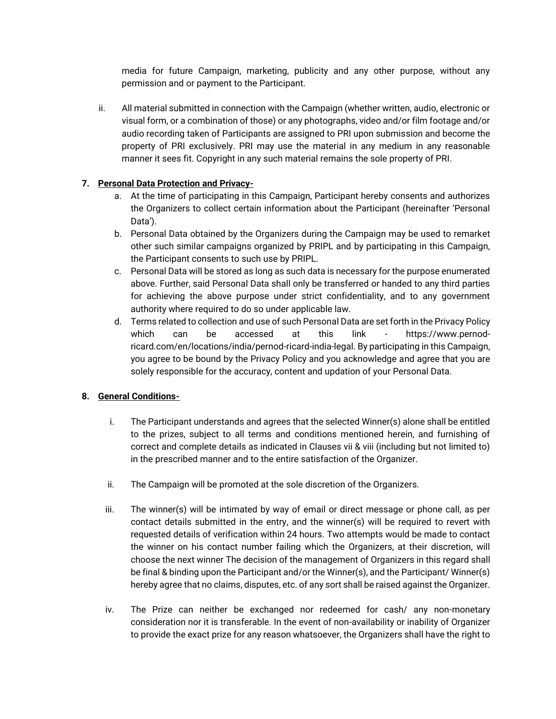media for future Campaign, marketing, publicity and any other purpose, without any permission and or payment to the Participant.

ii. All material submitted in connection with the Campaign (whether written, audio, electronic or visual form, or a combination of those) or any photographs, video and/or film footage and/or audio recording taken of Participants are assigned to PRI upon submission and become the property of PRI exclusively. PRI may use the material in any medium in any reasonable manner it sees fit. Copyright in any such material remains the sole property of PRI.

### **7. Personal Data Protection and Privacy-**

- a. At the time of participating in this Campaign, Participant hereby consents and authorizes the Organizers to collect certain information about the Participant (hereinafter 'Personal Data').
- b. Personal Data obtained by the Organizers during the Campaign may be used to remarket other such similar campaigns organized by PRIPL and by participating in this Campaign, the Participant consents to such use by PRIPL.
- c. Personal Data will be stored as long as such data is necessary for the purpose enumerated above. Further, said Personal Data shall only be transferred or handed to any third parties for achieving the above purpose under strict confidentiality, and to any government authority where required to do so under applicable law.
- d. Terms related to collection and use of such Personal Data are set forth in the Privacy Policy which can be accessed at this link - https://www.pernodricard.com/en/locations/india/pernod-ricard-india-legal. By participating in this Campaign, you agree to be bound by the Privacy Policy and you acknowledge and agree that you are solely responsible for the accuracy, content and updation of your Personal Data.

# **8. General Conditions-**

- i. The Participant understands and agrees that the selected Winner(s) alone shall be entitled to the prizes, subject to all terms and conditions mentioned herein, and furnishing of correct and complete details as indicated in Clauses vii & viii (including but not limited to) in the prescribed manner and to the entire satisfaction of the Organizer.
- ii. The Campaign will be promoted at the sole discretion of the Organizers.
- iii. The winner(s) will be intimated by way of email or direct message or phone call, as per contact details submitted in the entry, and the winner(s) will be required to revert with requested details of verification within 24 hours. Two attempts would be made to contact the winner on his contact number failing which the Organizers, at their discretion, will choose the next winner The decision of the management of Organizers in this regard shall be final & binding upon the Participant and/or the Winner(s), and the Participant/ Winner(s) hereby agree that no claims, disputes, etc. of any sort shall be raised against the Organizer.
- iv. The Prize can neither be exchanged nor redeemed for cash/ any non-monetary consideration nor it is transferable. In the event of non-availability or inability of Organizer to provide the exact prize for any reason whatsoever, the Organizers shall have the right to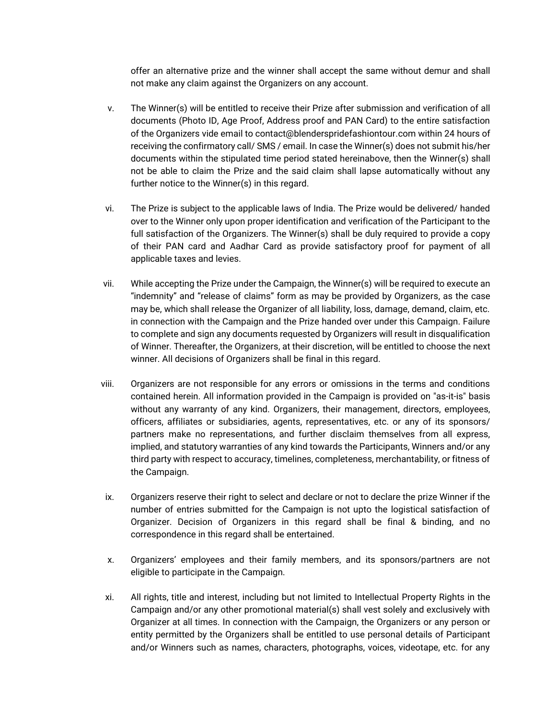offer an alternative prize and the winner shall accept the same without demur and shall not make any claim against the Organizers on any account.

- v. The Winner(s) will be entitled to receive their Prize after submission and verification of all documents (Photo ID, Age Proof, Address proof and PAN Card) to the entire satisfaction of the Organizers vide email to contact@blenderspridefashiontour.com within 24 hours of receiving the confirmatory call/ SMS / email. In case the Winner(s) does not submit his/her documents within the stipulated time period stated hereinabove, then the Winner(s) shall not be able to claim the Prize and the said claim shall lapse automatically without any further notice to the Winner(s) in this regard.
- vi. The Prize is subject to the applicable laws of India. The Prize would be delivered/ handed over to the Winner only upon proper identification and verification of the Participant to the full satisfaction of the Organizers. The Winner(s) shall be duly required to provide a copy of their PAN card and Aadhar Card as provide satisfactory proof for payment of all applicable taxes and levies.
- vii. While accepting the Prize under the Campaign, the Winner(s) will be required to execute an "indemnity" and "release of claims" form as may be provided by Organizers, as the case may be, which shall release the Organizer of all liability, loss, damage, demand, claim, etc. in connection with the Campaign and the Prize handed over under this Campaign. Failure to complete and sign any documents requested by Organizers will result in disqualification of Winner. Thereafter, the Organizers, at their discretion, will be entitled to choose the next winner. All decisions of Organizers shall be final in this regard.
- viii. Organizers are not responsible for any errors or omissions in the terms and conditions contained herein. All information provided in the Campaign is provided on "as-it-is" basis without any warranty of any kind. Organizers, their management, directors, employees, officers, affiliates or subsidiaries, agents, representatives, etc. or any of its sponsors/ partners make no representations, and further disclaim themselves from all express, implied, and statutory warranties of any kind towards the Participants, Winners and/or any third party with respect to accuracy, timelines, completeness, merchantability, or fitness of the Campaign.
- ix. Organizers reserve their right to select and declare or not to declare the prize Winner if the number of entries submitted for the Campaign is not upto the logistical satisfaction of Organizer. Decision of Organizers in this regard shall be final & binding, and no correspondence in this regard shall be entertained.
- x. Organizers' employees and their family members, and its sponsors/partners are not eligible to participate in the Campaign.
- xi. All rights, title and interest, including but not limited to Intellectual Property Rights in the Campaign and/or any other promotional material(s) shall vest solely and exclusively with Organizer at all times. In connection with the Campaign, the Organizers or any person or entity permitted by the Organizers shall be entitled to use personal details of Participant and/or Winners such as names, characters, photographs, voices, videotape, etc. for any